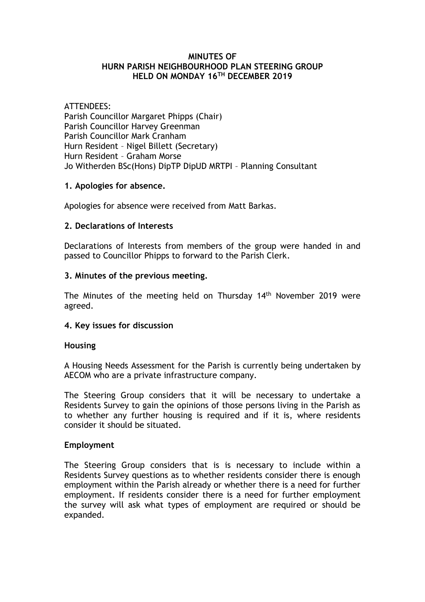#### **MINUTES OF HURN PARISH NEIGHBOURHOOD PLAN STEERING GROUP HELD ON MONDAY 16TH DECEMBER 2019**

## ATTENDEES:

Parish Councillor Margaret Phipps (Chair) Parish Councillor Harvey Greenman Parish Councillor Mark Cranham Hurn Resident – Nigel Billett (Secretary) Hurn Resident – Graham Morse Jo Witherden BSc(Hons) DipTP DipUD MRTPI – Planning Consultant

## **1. Apologies for absence.**

Apologies for absence were received from Matt Barkas.

## **2. Declarations of Interests**

Declarations of Interests from members of the group were handed in and passed to Councillor Phipps to forward to the Parish Clerk.

#### **3. Minutes of the previous meeting.**

The Minutes of the meeting held on Thursday 14th November 2019 were agreed.

#### **4. Key issues for discussion**

#### **Housing**

A Housing Needs Assessment for the Parish is currently being undertaken by AECOM who are a private infrastructure company.

The Steering Group considers that it will be necessary to undertake a Residents Survey to gain the opinions of those persons living in the Parish as to whether any further housing is required and if it is, where residents consider it should be situated.

#### **Employment**

The Steering Group considers that is is necessary to include within a Residents Survey questions as to whether residents consider there is enough employment within the Parish already or whether there is a need for further employment. If residents consider there is a need for further employment the survey will ask what types of employment are required or should be expanded.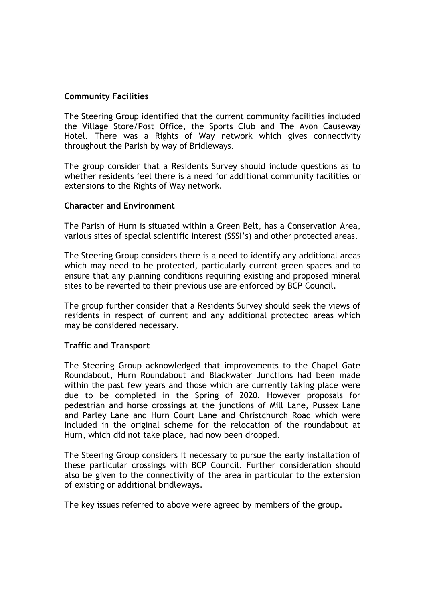## **Community Facilities**

The Steering Group identified that the current community facilities included the Village Store/Post Office, the Sports Club and The Avon Causeway Hotel. There was a Rights of Way network which gives connectivity throughout the Parish by way of Bridleways.

The group consider that a Residents Survey should include questions as to whether residents feel there is a need for additional community facilities or extensions to the Rights of Way network.

#### **Character and Environment**

The Parish of Hurn is situated within a Green Belt, has a Conservation Area, various sites of special scientific interest (SSSI's) and other protected areas.

The Steering Group considers there is a need to identify any additional areas which may need to be protected, particularly current green spaces and to ensure that any planning conditions requiring existing and proposed mineral sites to be reverted to their previous use are enforced by BCP Council.

The group further consider that a Residents Survey should seek the views of residents in respect of current and any additional protected areas which may be considered necessary.

#### **Traffic and Transport**

The Steering Group acknowledged that improvements to the Chapel Gate Roundabout, Hurn Roundabout and Blackwater Junctions had been made within the past few years and those which are currently taking place were due to be completed in the Spring of 2020. However proposals for pedestrian and horse crossings at the junctions of Mill Lane, Pussex Lane and Parley Lane and Hurn Court Lane and Christchurch Road which were included in the original scheme for the relocation of the roundabout at Hurn, which did not take place, had now been dropped.

The Steering Group considers it necessary to pursue the early installation of these particular crossings with BCP Council. Further consideration should also be given to the connectivity of the area in particular to the extension of existing or additional bridleways.

The key issues referred to above were agreed by members of the group.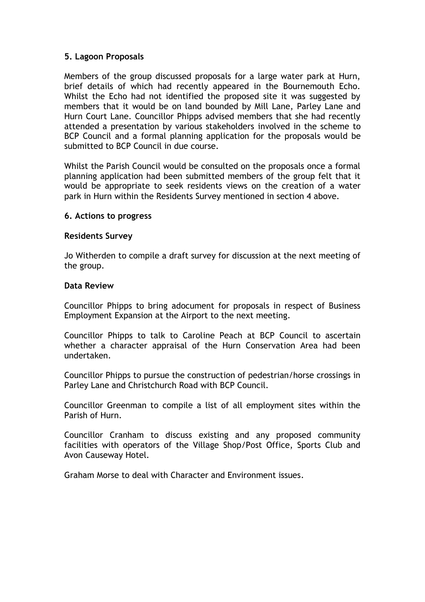## **5. Lagoon Proposals**

Members of the group discussed proposals for a large water park at Hurn, brief details of which had recently appeared in the Bournemouth Echo. Whilst the Echo had not identified the proposed site it was suggested by members that it would be on land bounded by Mill Lane, Parley Lane and Hurn Court Lane. Councillor Phipps advised members that she had recently attended a presentation by various stakeholders involved in the scheme to BCP Council and a formal planning application for the proposals would be submitted to BCP Council in due course.

Whilst the Parish Council would be consulted on the proposals once a formal planning application had been submitted members of the group felt that it would be appropriate to seek residents views on the creation of a water park in Hurn within the Residents Survey mentioned in section 4 above.

## **6. Actions to progress**

#### **Residents Survey**

Jo Witherden to compile a draft survey for discussion at the next meeting of the group.

#### **Data Review**

Councillor Phipps to bring adocument for proposals in respect of Business Employment Expansion at the Airport to the next meeting.

Councillor Phipps to talk to Caroline Peach at BCP Council to ascertain whether a character appraisal of the Hurn Conservation Area had been undertaken.

Councillor Phipps to pursue the construction of pedestrian/horse crossings in Parley Lane and Christchurch Road with BCP Council.

Councillor Greenman to compile a list of all employment sites within the Parish of Hurn.

Councillor Cranham to discuss existing and any proposed community facilities with operators of the Village Shop/Post Office, Sports Club and Avon Causeway Hotel.

Graham Morse to deal with Character and Environment issues.